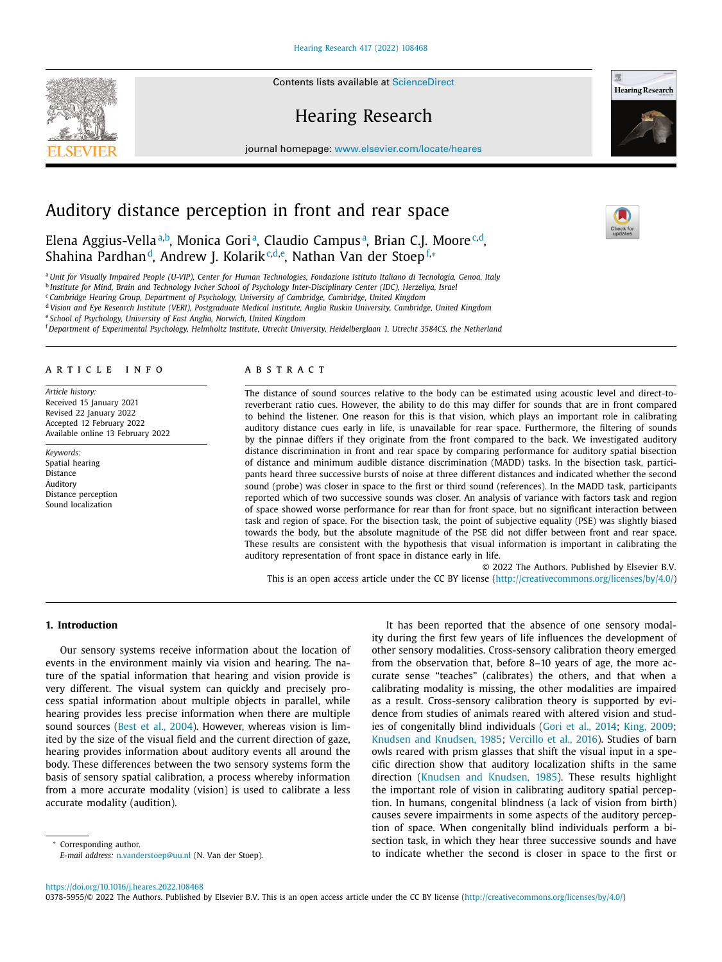Contents lists available at [ScienceDirect](http://www.ScienceDirect.com)

# Hearing Research

journal homepage: [www.elsevier.com/locate/heares](http://www.elsevier.com/locate/heares)

# Auditory distance perception in front and rear space

Elena Aggius-Vella<sup>a,b</sup>, Monica Gori<sup>a</sup>, Claudio Campus<sup>a</sup>, Brian C.J. Moore<sup>c,d</sup>, Shahina Pardhan<sup>d</sup>, Andrew J. Kolarik<sup>c,d,e</sup>, Nathan Van der Stoep<sup>f,</sup>∗

a Unit for Visually Impaired People (U-VIP), Center for Human Technologies, Fondazione Istituto Italiano di Tecnologia, Genoa, Italy <sup>b</sup> Institute for Mind, Brain and Technology Ivcher School of Psychology Inter-Disciplinary Center (IDC), Herzeliya, Israel

<sup>c</sup> *Cambridge Hearing Group, Department of Psychology, University of Cambridge, Cambridge, United Kingdom*

<sup>d</sup> Vision and Eye Research Institute (VERI), Postgraduate Medical Institute, Anglia Ruskin University, Cambridge, United Kingdom

<sup>e</sup> *School of Psychology, University of East Anglia, Norwich, United Kingdom*

<sup>f</sup> Department of Experimental Psychology, Helmholtz Institute, Utrecht University, Heidelberglaan 1, Utrecht 3584CS, the Netherland

## a r t i c l e i n f o

*Article history:* Received 15 January 2021 Revised 22 January 2022 Accepted 12 February 2022 Available online 13 February 2022

*Keywords:* Spatial hearing Distance Auditory Distance perception Sound localization

# A B S T R A C T

The distance of sound sources relative to the body can be estimated using acoustic level and direct-toreverberant ratio cues. However, the ability to do this may differ for sounds that are in front compared to behind the listener. One reason for this is that vision, which plays an important role in calibrating auditory distance cues early in life, is unavailable for rear space. Furthermore, the filtering of sounds by the pinnae differs if they originate from the front compared to the back. We investigated auditory distance discrimination in front and rear space by comparing performance for auditory spatial bisection of distance and minimum audible distance discrimination (MADD) tasks. In the bisection task, participants heard three successive bursts of noise at three different distances and indicated whether the second sound (probe) was closer in space to the first or third sound (references). In the MADD task, participants reported which of two successive sounds was closer. An analysis of variance with factors task and region of space showed worse performance for rear than for front space, but no significant interaction between task and region of space. For the bisection task, the point of subjective equality (PSE) was slightly biased towards the body, but the absolute magnitude of the PSE did not differ between front and rear space. These results are consistent with the hypothesis that visual information is important in calibrating the auditory representation of front space in distance early in life.

© 2022 The Authors. Published by Elsevier B.V. This is an open access article under the CC BY license [\(http://creativecommons.org/licenses/by/4.0/\)](http://creativecommons.org/licenses/by/4.0/)

## **1. Introduction**

Our sensory systems receive information about the location of events in the environment mainly via vision and hearing. The nature of the spatial information that hearing and vision provide is very different. The visual system can quickly and precisely process spatial information about multiple objects in parallel, while hearing provides less precise information when there are multiple sound sources (Best et al., [2004\)](#page-5-0). However, whereas vision is limited by the size of the visual field and the current direction of gaze, hearing provides information about auditory events all around the body. These differences between the two sensory systems form the basis of sensory spatial calibration, a process whereby information from a more accurate modality (vision) is used to calibrate a less accurate modality (audition).

<sup>∗</sup> Corresponding author.

*E-mail address:* [n.vanderstoep@uu.nl](mailto:n.vanderstoep@uu.nl) (N. Van der Stoep).

It has been reported that the absence of one sensory modality during the first few years of life influences the development of other sensory modalities. Cross-sensory calibration theory emerged from the observation that, before 8–10 years of age, the more accurate sense "teaches" (calibrates) the others, and that when a calibrating modality is missing, the other modalities are impaired as a result. Cross-sensory calibration theory is supported by evidence from studies of animals reared with altered vision and studies of congenitally blind individuals (Gori et al., [2014;](#page-5-0) King, [2009;](#page-5-0) Knudsen and [Knudsen,](#page-5-0) 1985; [Vercillo](#page-5-0) et al., 2016). Studies of barn owls reared with prism glasses that shift the visual input in a specific direction show that auditory localization shifts in the same direction (Knudsen and [Knudsen,](#page-5-0) 1985). These results highlight the important role of vision in calibrating auditory spatial perception. In humans, congenital blindness (a lack of vision from birth) causes severe impairments in some aspects of the auditory perception of space. When congenitally blind individuals perform a bisection task, in which they hear three successive sounds and have to indicate whether the second is closer in space to the first or







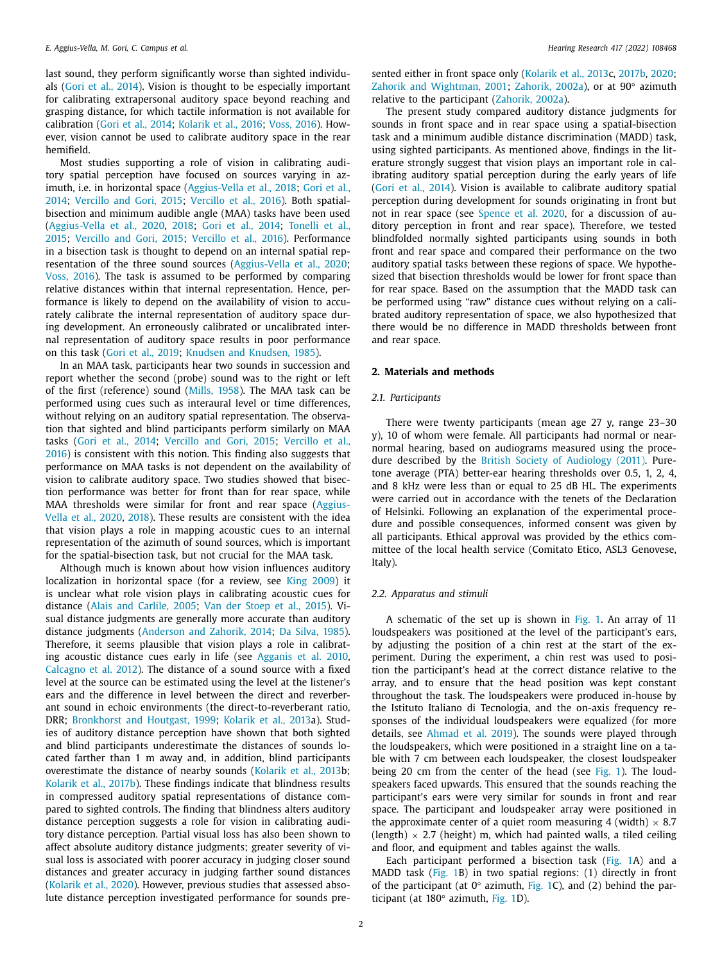last sound, they perform significantly worse than sighted individuals (Gori et al., [2014\)](#page-5-0). Vision is thought to be especially important for calibrating extrapersonal auditory space beyond reaching and grasping distance, for which tactile information is not available for calibration (Gori et al., [2014;](#page-5-0) [Kolarik](#page-5-0) et al., 2016; [Voss,](#page-6-0) 2016). However, vision cannot be used to calibrate auditory space in the rear hemifield.

Most studies supporting a role of vision in calibrating auditory spatial perception have focused on sources varying in azimuth, i.e. in horizontal space [\(Aggius-Vella](#page-5-0) et al., 2018; Gori et al., 2014; [Vercillo](#page-5-0) and Gori, 2015; [Vercillo](#page-5-0) et al., 2016). Both spatialbisection and minimum audible angle (MAA) tasks have been used [\(Aggius-Vella](#page-5-0) et al., 2020, [2018;](#page-5-0) Gori et al., [2014;](#page-5-0) Tonelli et al., 2015; [Vercillo](#page-5-0) and Gori, 2015; [Vercillo](#page-5-0) et al., 2016). Performance in a bisection task is thought to depend on an internal spatial representation of the three sound sources [\(Aggius-Vella](#page-5-0) et al., 2020; [Voss,](#page-6-0) 2016). The task is assumed to be performed by comparing relative distances within that internal representation. Hence, performance is likely to depend on the availability of vision to accurately calibrate the internal representation of auditory space during development. An erroneously calibrated or uncalibrated internal representation of auditory space results in poor performance on this task (Gori et al., [2019;](#page-5-0) Knudsen and [Knudsen,](#page-5-0) 1985).

In an MAA task, participants hear two sounds in succession and report whether the second (probe) sound was to the right or left of the first (reference) sound [\(Mills,](#page-5-0) 1958). The MAA task can be performed using cues such as interaural level or time differences, without relying on an auditory spatial representation. The observation that sighted and blind participants perform similarly on MAA tasks (Gori et al., [2014;](#page-5-0) [Vercillo](#page-5-0) and Gori, 2015; Vercillo et al., 2016) is [consistent](#page-5-0) with this notion. This finding also suggests that performance on MAA tasks is not dependent on the availability of vision to calibrate auditory space. Two studies showed that bisection performance was better for front than for rear space, while MAA [thresholds](#page-5-0) were similar for front and rear space (Aggius-Vella et al., 2020, [2018\)](#page-5-0). These results are consistent with the idea that vision plays a role in mapping acoustic cues to an internal representation of the azimuth of sound sources, which is important for the spatial-bisection task, but not crucial for the MAA task.

Although much is known about how vision influences auditory localization in horizontal space (for a review, see King [2009\)](#page-5-0) it is unclear what role vision plays in calibrating acoustic cues for distance (Alais and [Carlile,](#page-5-0) 2005; Van der [Stoep](#page-5-0) et al., 2015). Visual distance judgments are generally more accurate than auditory distance judgments [\(Anderson](#page-5-0) and Zahorik, 2014; Da [Silva,](#page-5-0) 1985). Therefore, it seems plausible that vision plays a role in calibrating acoustic distance cues early in life (see [Agganis](#page-5-0) et al. 2010, [Calcagno](#page-5-0) et al. 2012). The distance of a sound source with a fixed level at the source can be estimated using the level at the listener's ears and the difference in level between the direct and reverberant sound in echoic environments (the direct-to-reverberant ratio, DRR; [Bronkhorst](#page-5-0) and Houtgast, 1999; [Kolarik](#page-5-0) et al., 2013a). Studies of auditory distance perception have shown that both sighted and blind participants underestimate the distances of sounds located farther than 1 m away and, in addition, blind participants overestimate the distance of nearby sounds [\(Kolarik](#page-5-0) et al., 2013b; [Kolarik](#page-5-0) et al., 2017b). These findings indicate that blindness results in compressed auditory spatial representations of distance compared to sighted controls. The finding that blindness alters auditory distance perception suggests a role for vision in calibrating auditory distance perception. Partial visual loss has also been shown to affect absolute auditory distance judgments; greater severity of visual loss is associated with poorer accuracy in judging closer sound distances and greater accuracy in judging farther sound distances [\(Kolarik](#page-5-0) et al., 2020). However, previous studies that assessed absolute distance perception investigated performance for sounds presented either in front space only [\(Kolarik](#page-5-0) et al., 2013c, [2017b,](#page-5-0) [2020;](#page-5-0) Zahorik and [Wightman,](#page-6-0) 2001; [Zahorik,](#page-6-0) 2002a), or at 90° azimuth relative to the participant [\(Zahorik,](#page-6-0) 2002a).

The present study compared auditory distance judgments for sounds in front space and in rear space using a spatial-bisection task and a minimum audible distance discrimination (MADD) task, using sighted participants. As mentioned above, findings in the literature strongly suggest that vision plays an important role in calibrating auditory spatial perception during the early years of life (Gori et al., [2014\)](#page-5-0). Vision is available to calibrate auditory spatial perception during development for sounds originating in front but not in rear space (see [Spence](#page-5-0) et al. 2020, for a discussion of auditory perception in front and rear space). Therefore, we tested blindfolded normally sighted participants using sounds in both front and rear space and compared their performance on the two auditory spatial tasks between these regions of space. We hypothesized that bisection thresholds would be lower for front space than for rear space. Based on the assumption that the MADD task can be performed using "raw" distance cues without relying on a calibrated auditory representation of space, we also hypothesized that there would be no difference in MADD thresholds between front and rear space.

### **2. Materials and methods**

#### *2.1. Participants*

There were twenty participants (mean age 27 y, range 23–30 y), 10 of whom were female. All participants had normal or nearnormal hearing, based on audiograms measured using the procedure described by the British Society of [Audiology](#page-5-0) (2011). Puretone average (PTA) better-ear hearing thresholds over 0.5, 1, 2, 4, and 8 kHz were less than or equal to 25 dB HL. The experiments were carried out in accordance with the tenets of the Declaration of Helsinki. Following an explanation of the experimental procedure and possible consequences, informed consent was given by all participants. Ethical approval was provided by the ethics committee of the local health service (Comitato Etico, ASL3 Genovese, Italy).

#### *2.2. Apparatus and stimuli*

A schematic of the set up is shown in [Fig.](#page-2-0) 1. An array of 11 loudspeakers was positioned at the level of the participant's ears, by adjusting the position of a chin rest at the start of the experiment. During the experiment, a chin rest was used to position the participant's head at the correct distance relative to the array, and to ensure that the head position was kept constant throughout the task. The loudspeakers were produced in-house by the Istituto Italiano di Tecnologia, and the on-axis frequency responses of the individual loudspeakers were equalized (for more details, see [Ahmad](#page-5-0) et al. 2019). The sounds were played through the loudspeakers, which were positioned in a straight line on a table with 7 cm between each loudspeaker, the closest loudspeaker being 20 cm from the center of the head (see [Fig.](#page-2-0) 1). The loudspeakers faced upwards. This ensured that the sounds reaching the participant's ears were very similar for sounds in front and rear space. The participant and loudspeaker array were positioned in the approximate center of a quiet room measuring 4 (width)  $\times$  8.7 (length)  $\times$  2.7 (height) m, which had painted walls, a tiled ceiling and floor, and equipment and tables against the walls.

Each participant performed a bisection task [\(Fig.](#page-2-0) 1A) and a MADD task [\(Fig.](#page-2-0) 1B) in two spatial regions: (1) directly in front of the participant (at  $0^{\circ}$  azimuth, [Fig.](#page-2-0) 1C), and (2) behind the participant (at 180° azimuth, [Fig.](#page-2-0) 1D).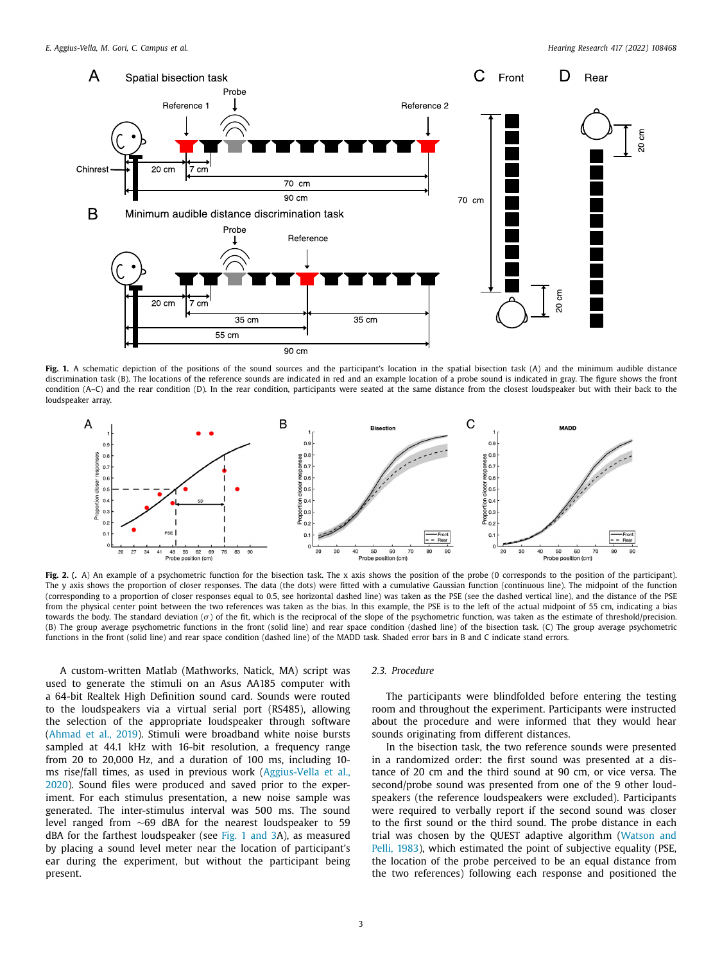<span id="page-2-0"></span>

Fig. 1. A schematic depiction of the positions of the sound sources and the participant's location in the spatial bisection task (A) and the minimum audible distance discrimination task (B). The locations of the reference sounds are indicated in red and an example location of a probe sound is indicated in gray. The figure shows the front condition (A–C) and the rear condition (D). In the rear condition, participants were seated at the same distance from the closest loudspeaker but with their back to the loudspeaker array.



**Fig. 2. (.** A) An example of a psychometric function for the bisection task. The x axis shows the position of the probe (0 corresponds to the position of the participant). The y axis shows the proportion of closer responses. The data (the dots) were fitted with a cumulative Gaussian function (continuous line). The midpoint of the function (corresponding to a proportion of closer responses equal to 0.5, see horizontal dashed line) was taken as the PSE (see the dashed vertical line), and the distance of the PSE from the physical center point between the two references was taken as the bias. In this example, the PSE is to the left of the actual midpoint of 55 cm, indicating a bias towards the body. The standard deviation ( $\sigma$ ) of the fit, which is the reciprocal of the slope of the psychometric function, was taken as the estimate of threshold/precision. (B) The group average psychometric functions in the front (solid line) and rear space condition (dashed line) of the bisection task. (C) The group average psychometric functions in the front (solid line) and rear space condition (dashed line) of the MADD task. Shaded error bars in B and C indicate stand errors.

A custom-written Matlab (Mathworks, Natick, MA) script was used to generate the stimuli on an Asus AA185 computer with a 64-bit Realtek High Definition sound card. Sounds were routed to the loudspeakers via a virtual serial port (RS485), allowing the selection of the appropriate loudspeaker through software [\(Ahmad](#page-5-0) et al., 2019). Stimuli were broadband white noise bursts sampled at 44.1 kHz with 16-bit resolution, a frequency range from 20 to 20,000 Hz, and a duration of 100 ms, including 10 ms rise/fall times, as used in previous work [\(Aggius-Vella](#page-5-0) et al., 2020). Sound files were produced and saved prior to the experiment. For each stimulus presentation, a new noise sample was generated. The inter-stimulus interval was 500 ms. The sound level ranged from ∼69 dBA for the nearest loudspeaker to 59 dBA for the farthest loudspeaker (see Fig. 1 and 3A), as measured by placing a sound level meter near the location of participant's ear during the experiment, but without the participant being present.

#### *2.3. Procedure*

The participants were blindfolded before entering the testing room and throughout the experiment. Participants were instructed about the procedure and were informed that they would hear sounds originating from different distances.

In the bisection task, the two reference sounds were presented in a randomized order: the first sound was presented at a distance of 20 cm and the third sound at 90 cm, or vice versa. The second/probe sound was presented from one of the 9 other loudspeakers (the reference loudspeakers were excluded). Participants were required to verbally report if the second sound was closer to the first sound or the third sound. The probe distance in each trial was chosen by the QUEST adaptive algorithm (Watson and Pelli, 1983), which estimated the point of [subjective](#page-6-0) equality (PSE, the location of the probe perceived to be an equal distance from the two references) following each response and positioned the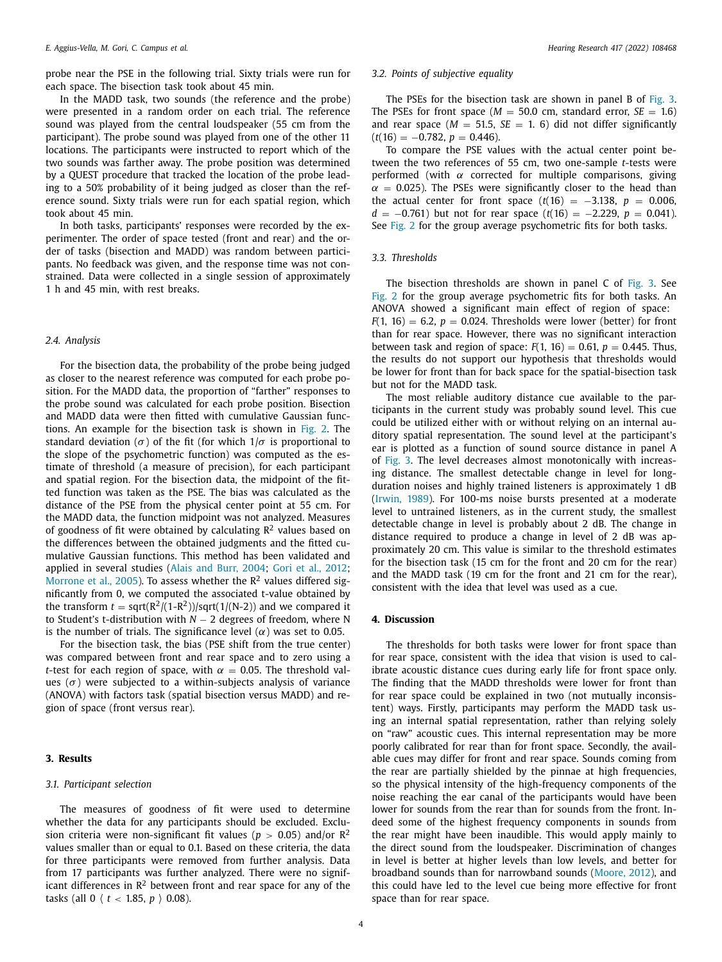probe near the PSE in the following trial. Sixty trials were run for each space. The bisection task took about 45 min.

In the MADD task, two sounds (the reference and the probe) were presented in a random order on each trial. The reference sound was played from the central loudspeaker (55 cm from the participant). The probe sound was played from one of the other 11 locations. The participants were instructed to report which of the two sounds was farther away. The probe position was determined by a QUEST procedure that tracked the location of the probe leading to a 50% probability of it being judged as closer than the reference sound. Sixty trials were run for each spatial region, which took about 45 min.

In both tasks, participants' responses were recorded by the experimenter. The order of space tested (front and rear) and the order of tasks (bisection and MADD) was random between participants. No feedback was given, and the response time was not constrained. Data were collected in a single session of approximately 1 h and 45 min, with rest breaks.

## *2.4. Analysis*

For the bisection data, the probability of the probe being judged as closer to the nearest reference was computed for each probe position. For the MADD data, the proportion of "farther" responses to the probe sound was calculated for each probe position. Bisection and MADD data were then fitted with cumulative Gaussian functions. An example for the bisection task is shown in [Fig.](#page-2-0) 2. The standard deviation ( $\sigma$ ) of the fit (for which  $1/\sigma$  is proportional to the slope of the psychometric function) was computed as the estimate of threshold (a measure of precision), for each participant and spatial region. For the bisection data, the midpoint of the fitted function was taken as the PSE. The bias was calculated as the distance of the PSE from the physical center point at 55 cm. For the MADD data, the function midpoint was not analyzed. Measures of goodness of fit were obtained by calculating  $\mathbb{R}^2$  values based on the differences between the obtained judgments and the fitted cumulative Gaussian functions. This method has been validated and applied in several studies (Alais and Burr, [2004;](#page-5-0) Gori et al., [2012;](#page-5-0) [Morrone](#page-5-0) et al., 2005). To assess whether the  $\mathbb{R}^2$  values differed significantly from 0, we computed the associated t-value obtained by the transform  $t = \sqrt{(R^2/(1-R^2))}/\sqrt{3}$  and we compared it to Student's t-distribution with *N* − 2 degrees of freedom, where N is the number of trials. The significance level  $(\alpha)$  was set to 0.05.

For the bisection task, the bias (PSE shift from the true center) was compared between front and rear space and to zero using a *t*-test for each region of space, with  $\alpha = 0.05$ . The threshold values ( $\sigma$ ) were subjected to a within-subjects analysis of variance (ANOVA) with factors task (spatial bisection versus MADD) and region of space (front versus rear).

#### **3. Results**

#### *3.1. Participant selection*

The measures of goodness of fit were used to determine whether the data for any participants should be excluded. Exclusion criteria were non-significant fit values ( $p > 0.05$ ) and/or  $\mathbb{R}^2$ values smaller than or equal to 0.1. Based on these criteria, the data for three participants were removed from further analysis. Data from 17 participants was further analyzed. There were no significant differences in  $\mathbb{R}^2$  between front and rear space for any of the tasks (all 0  $\langle t < 1.85, p \rangle$  0.08).

## *3.2. Points of subjective equality*

The PSEs for the bisection task are shown in panel B of [Fig.](#page-4-0) 3. The PSEs for front space ( $M = 50.0$  cm, standard error,  $SE = 1.6$ ) and rear space ( $M = 51.5$ ,  $SE = 1$ , 6) did not differ significantly  $(t(16) = -0.782, p = 0.446).$ 

To compare the PSE values with the actual center point between the two references of 55 cm, two one-sample *t*-tests were performed (with  $\alpha$  corrected for multiple comparisons, giving  $\alpha$  = 0.025). The PSEs were significantly closer to the head than the actual center for front space  $(t(16) = -3.138, p = 0.006,$ *d* = −0.761) but not for rear space (*t*(16) = −2.229, *p* = 0.041). See [Fig.](#page-2-0) 2 for the group average psychometric fits for both tasks.

#### *3.3. Thresholds*

The bisection thresholds are shown in panel C of [Fig.](#page-4-0) 3. See [Fig.](#page-2-0) 2 for the group average psychometric fits for both tasks. An ANOVA showed a significant main effect of region of space:  $F(1, 16) = 6.2$ ,  $p = 0.024$ . Thresholds were lower (better) for front than for rear space. However, there was no significant interaction between task and region of space:  $F(1, 16) = 0.61$ ,  $p = 0.445$ . Thus, the results do not support our hypothesis that thresholds would be lower for front than for back space for the spatial-bisection task but not for the MADD task.

The most reliable auditory distance cue available to the participants in the current study was probably sound level. This cue could be utilized either with or without relying on an internal auditory spatial representation. The sound level at the participant's ear is plotted as a function of sound source distance in panel A of [Fig.](#page-4-0) 3. The level decreases almost monotonically with increasing distance. The smallest detectable change in level for longduration noises and highly trained listeners is approximately 1 dB [\(Irwin,](#page-5-0) 1989). For 100-ms noise bursts presented at a moderate level to untrained listeners, as in the current study, the smallest detectable change in level is probably about 2 dB. The change in distance required to produce a change in level of 2 dB was approximately 20 cm. This value is similar to the threshold estimates for the bisection task (15 cm for the front and 20 cm for the rear) and the MADD task (19 cm for the front and 21 cm for the rear), consistent with the idea that level was used as a cue.

## **4. Discussion**

The thresholds for both tasks were lower for front space than for rear space, consistent with the idea that vision is used to calibrate acoustic distance cues during early life for front space only. The finding that the MADD thresholds were lower for front than for rear space could be explained in two (not mutually inconsistent) ways. Firstly, participants may perform the MADD task using an internal spatial representation, rather than relying solely on "raw" acoustic cues. This internal representation may be more poorly calibrated for rear than for front space. Secondly, the available cues may differ for front and rear space. Sounds coming from the rear are partially shielded by the pinnae at high frequencies, so the physical intensity of the high-frequency components of the noise reaching the ear canal of the participants would have been lower for sounds from the rear than for sounds from the front. Indeed some of the highest frequency components in sounds from the rear might have been inaudible. This would apply mainly to the direct sound from the loudspeaker. Discrimination of changes in level is better at higher levels than low levels, and better for broadband sounds than for narrowband sounds [\(Moore,](#page-5-0) 2012), and this could have led to the level cue being more effective for front space than for rear space.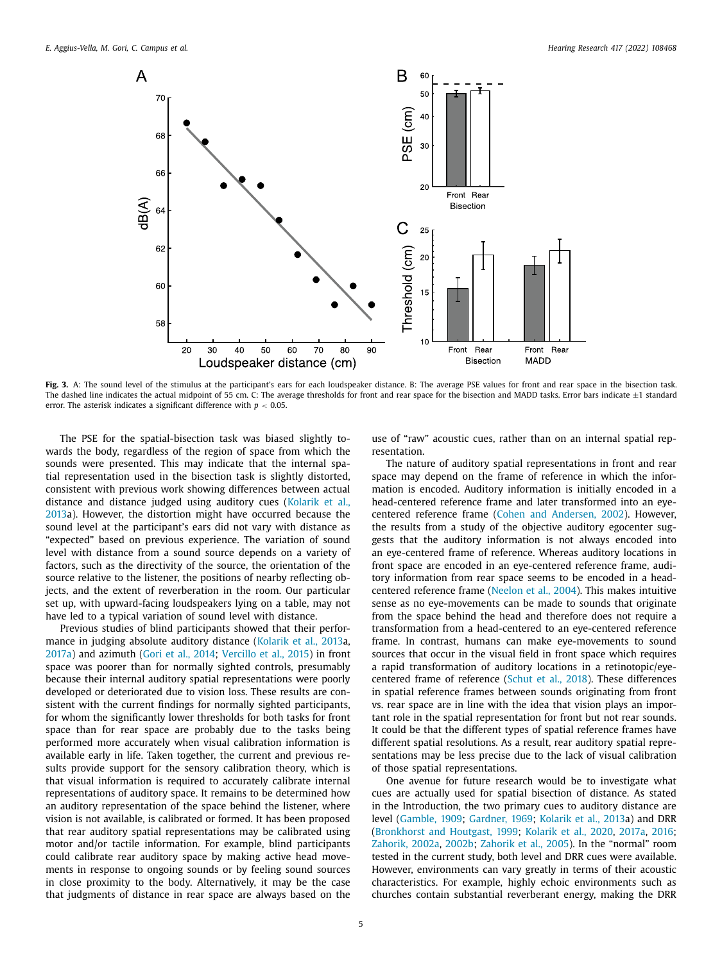<span id="page-4-0"></span>![](_page_4_Figure_2.jpeg)

**Fig. 3.** A: The sound level of the stimulus at the participant's ears for each loudspeaker distance. B: The average PSE values for front and rear space in the bisection task. The dashed line indicates the actual midpoint of 55 cm. C: The average thresholds for front and rear space for the bisection and MADD tasks. Error bars indicate  $\pm 1$  standard error. The asterisk indicates a significant difference with *p* < 0.05.

The PSE for the spatial-bisection task was biased slightly towards the body, regardless of the region of space from which the sounds were presented. This may indicate that the internal spatial representation used in the bisection task is slightly distorted, consistent with previous work showing differences between actual distance and distance judged using auditory cues (Kolarik et al., 2013a). However, the [distortion](#page-5-0) might have occurred because the sound level at the participant's ears did not vary with distance as "expected" based on previous experience. The variation of sound level with distance from a sound source depends on a variety of factors, such as the directivity of the source, the orientation of the source relative to the listener, the positions of nearby reflecting objects, and the extent of reverberation in the room. Our particular set up, with upward-facing loudspeakers lying on a table, may not have led to a typical variation of sound level with distance.

Previous studies of blind participants showed that their performance in judging absolute auditory distance [\(Kolarik](#page-5-0) et al., 2013a, [2017a\)](#page-5-0) and azimuth (Gori et al., [2014;](#page-5-0) [Vercillo](#page-6-0) et al., 2015) in front space was poorer than for normally sighted controls, presumably because their internal auditory spatial representations were poorly developed or deteriorated due to vision loss. These results are consistent with the current findings for normally sighted participants, for whom the significantly lower thresholds for both tasks for front space than for rear space are probably due to the tasks being performed more accurately when visual calibration information is available early in life. Taken together, the current and previous results provide support for the sensory calibration theory, which is that visual information is required to accurately calibrate internal representations of auditory space. It remains to be determined how an auditory representation of the space behind the listener, where vision is not available, is calibrated or formed. It has been proposed that rear auditory spatial representations may be calibrated using motor and/or tactile information. For example, blind participants could calibrate rear auditory space by making active head movements in response to ongoing sounds or by feeling sound sources in close proximity to the body. Alternatively, it may be the case that judgments of distance in rear space are always based on the

use of "raw" acoustic cues, rather than on an internal spatial representation.

The nature of auditory spatial representations in front and rear space may depend on the frame of reference in which the information is encoded. Auditory information is initially encoded in a head-centered reference frame and later transformed into an eyecentered reference frame (Cohen and [Andersen,](#page-5-0) 2002). However, the results from a study of the objective auditory egocenter suggests that the auditory information is not always encoded into an eye-centered frame of reference. Whereas auditory locations in front space are encoded in an eye-centered reference frame, auditory information from rear space seems to be encoded in a headcentered reference frame [\(Neelon](#page-5-0) et al., 2004). This makes intuitive sense as no eye-movements can be made to sounds that originate from the space behind the head and therefore does not require a transformation from a head-centered to an eye-centered reference frame. In contrast, humans can make eye-movements to sound sources that occur in the visual field in front space which requires a rapid transformation of auditory locations in a retinotopic/eyecentered frame of reference [\(Schut](#page-5-0) et al., 2018). These differences in spatial reference frames between sounds originating from front vs. rear space are in line with the idea that vision plays an important role in the spatial representation for front but not rear sounds. It could be that the different types of spatial reference frames have different spatial resolutions. As a result, rear auditory spatial representations may be less precise due to the lack of visual calibration of those spatial representations.

One avenue for future research would be to investigate what cues are actually used for spatial bisection of distance. As stated in the Introduction, the two primary cues to auditory distance are level [\(Gamble,](#page-5-0) 1909; [Gardner,](#page-5-0) 1969; [Kolarik](#page-5-0) et al., 2013a) and DRR [\(Bronkhorst](#page-5-0) and Houtgast, 1999; [Kolarik](#page-5-0) et al., 2020, [2017a,](#page-5-0) [2016;](#page-5-0) [Zahorik,](#page-6-0) 2002a, [2002b;](#page-6-0) [Zahorik](#page-6-0) et al., 2005). In the "normal" room tested in the current study, both level and DRR cues were available. However, environments can vary greatly in terms of their acoustic characteristics. For example, highly echoic environments such as churches contain substantial reverberant energy, making the DRR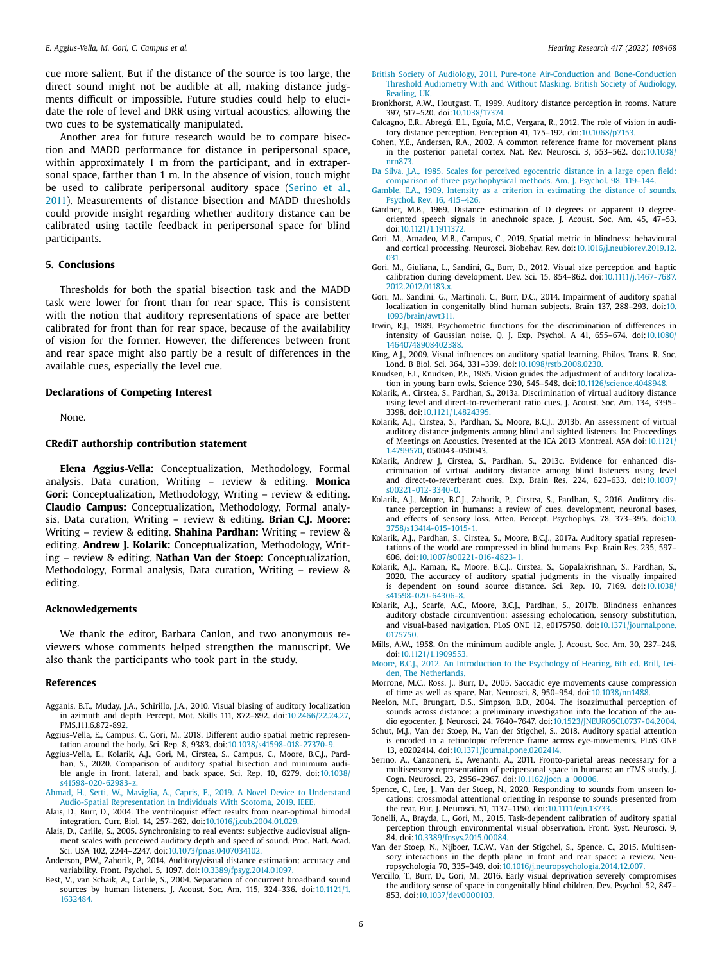<span id="page-5-0"></span>cue more salient. But if the distance of the source is too large, the direct sound might not be audible at all, making distance judgments difficult or impossible. Future studies could help to elucidate the role of level and DRR using virtual acoustics, allowing the two cues to be systematically manipulated.

Another area for future research would be to compare bisection and MADD performance for distance in peripersonal space, within approximately 1 m from the participant, and in extrapersonal space, farther than 1 m. In the absence of vision, touch might be used to calibrate peripersonal auditory space (Serino et al., 2011). Measurements of distance bisection and MADD thresholds could provide insight regarding whether auditory distance can be calibrated using tactile feedback in peripersonal space for blind participants.

### **5. Conclusions**

Thresholds for both the spatial bisection task and the MADD task were lower for front than for rear space. This is consistent with the notion that auditory representations of space are better calibrated for front than for rear space, because of the availability of vision for the former. However, the differences between front and rear space might also partly be a result of differences in the available cues, especially the level cue.

#### **Declarations of Competing Interest**

None.

## **CRediT authorship contribution statement**

**Elena Aggius-Vella:** Conceptualization, Methodology, Formal analysis, Data curation, Writing – review & editing. **Monica Gori:** Conceptualization, Methodology, Writing – review & editing. **Claudio Campus:** Conceptualization, Methodology, Formal analysis, Data curation, Writing – review & editing. **Brian C.J. Moore:** Writing – review & editing. **Shahina Pardhan:** Writing – review & editing. **Andrew J. Kolarik:** Conceptualization, Methodology, Writing – review & editing. **Nathan Van der Stoep:** Conceptualization, Methodology, Formal analysis, Data curation, Writing – review & editing.

#### **Acknowledgements**

We thank the editor, Barbara Canlon, and two anonymous reviewers whose comments helped strengthen the manuscript. We also thank the participants who took part in the study.

#### **References**

- Agganis, B.T., Muday, J.A., Schirillo, J.A., 2010. Visual biasing of auditory localization in azimuth and depth. Percept. Mot. Skills 111, 872–892. doi[:10.2466/22.24.27,](https://doi.org/10.2466/22.24.27) PMS.111.6.872-892.
- Aggius-Vella, E., Campus, C., Gori, M., 2018. Different audio spatial metric representation around the body. Sci. Rep. 8, 9383. doi[:10.1038/s41598-018-27370-9.](https://doi.org/10.1038/s41598-018-27370-9)
- Aggius-Vella, E., Kolarik, A.J., Gori, M., Cirstea, S., Campus, C., Moore, B.C.J., Pardhan, S., 2020. Comparison of auditory spatial bisection and minimum audible angle in front, lateral, and back space. Sci. Rep. 10, 6279. doi:10.1038/ [s41598-020-62983-z.](https://doi.org/10.1038/s41598-020-62983-z)
- [Ahmad,](http://refhub.elsevier.com/S0378-5955(22)00039-9/sbref0004) H., [Setti,](http://refhub.elsevier.com/S0378-5955(22)00039-9/sbref0004) W., [Maviglia,](http://refhub.elsevier.com/S0378-5955(22)00039-9/sbref0004) A., [Capris,](http://refhub.elsevier.com/S0378-5955(22)00039-9/sbref0004) E., 2019. A Novel Device to Understand Audio-Spatial [Representation](http://refhub.elsevier.com/S0378-5955(22)00039-9/sbref0004) in Individuals With Scotoma, 2019. IEEE.
- Alais, D., Burr, D., 2004. The ventriloquist effect results from near-optimal bimodal integration. Curr. Biol. 14, 257–262. doi[:10.1016/j.cub.2004.01.029.](https://doi.org/10.1016/j.cub.2004.01.029)
- Alais, D., Carlile, S., 2005. Synchronizing to real events: subjective audiovisual alignment scales with perceived auditory depth and speed of sound. Proc. Natl. Acad. Sci. USA 102, 2244–2247. doi[:10.1073/pnas.0407034102.](https://doi.org/10.1073/pnas.0407034102)
- Anderson, P.W., Zahorik, P., 2014. Auditory/visual distance estimation: accuracy and variability. Front. Psychol. 5, 1097. doi[:10.3389/fpsyg.2014.01097.](https://doi.org/10.3389/fpsyg.2014.01097)
- Best, V., van Schaik, A., Carlile, S., 2004. Separation of concurrent broadband sound sources by human listeners. J. Acoust. Soc. Am. 115, 324–336. [doi:10.1121/1.](https://doi.org/10.1121/1.1632484) 1632484.
- British Society of Audiology, 2011. Pure-tone Air-Conduction and [Bone-Conduction](http://refhub.elsevier.com/S0378-5955(22)00039-9/sbref0009) Threshold Audiometry With and Without Masking. British Society of Audiology, Reading, UK.
- Bronkhorst, A.W., Houtgast, T., 1999. Auditory distance perception in rooms. Nature 397, 517–520. doi[:10.1038/17374.](https://doi.org/10.1038/17374)
- Calcagno, E.R., Abregú, E.L., Eguía, M.C., Vergara, R., 2012. The role of vision in auditory distance perception. Perception 41, 175–192. doi[:10.1068/p7153.](https://doi.org/10.1068/p7153)
- Cohen, Y.E., Andersen, R.A., 2002. A common reference frame for movement plans in the posterior parietal cortex. Nat. Rev. Neurosci. 3, 553–562. [doi:10.1038/](https://doi.org/10.1038/nrn873) nrn873.
- Da [Silva,](http://refhub.elsevier.com/S0378-5955(22)00039-9/sbref0013) J.A., 1985. Scales for perceived egocentric distance in a large open field: comparison of three [psychophysical](http://refhub.elsevier.com/S0378-5955(22)00039-9/sbref0013) methods. Am. J. Psychol. 98, 119–144.
- [Gamble,](http://refhub.elsevier.com/S0378-5955(22)00039-9/sbref0014) E.A., 1909. Intensity as a criterion in [estimating](http://refhub.elsevier.com/S0378-5955(22)00039-9/sbref0014) the distance of sounds. Psychol. Rev. 16, 415–426.
- Gardner, M.B., 1969. Distance estimation of O degrees or apparent O degreeoriented speech signals in anechnoic space. J. Acoust. Soc. Am. 45, 47–53. doi[:10.1121/1.1911372.](https://doi.org/10.1121/1.1911372)
- Gori, M., Amadeo, M.B., Campus, C., 2019. Spatial metric in blindness: behavioural and cortical processing. Neurosci. Biobehav. Rev. [doi:10.1016/j.neubiorev.2019.12.](https://doi.org/10.1016/j.neubiorev.2019.12.031) 031.
- Gori, M., Giuliana, L., Sandini, G., Burr, D., 2012. Visual size perception and haptic calibration during development. Dev. Sci. 15, 854–862. [doi:10.1111/j.1467-7687.](https://doi.org/10.1111/j.1467-7687.2012.2012.01183.x) 2012.2012.01183.x
- Gori, M., Sandini, G., Martinoli, C., Burr, D.C., 2014. Impairment of auditory spatial localization in congenitally blind human subjects. Brain 137, 288–293. doi:10. [1093/brain/awt311.](https://doi.org/10.1093/brain/awt311)
- Irwin, R.J., 1989. Psychometric functions for the discrimination of differences in intensity of Gaussian noise. Q. J. Exp. Psychol. A 41, 655–674. doi:10.1080/ [14640748908402388.](https://doi.org/10.1080/14640748908402388)
- King, A.J., 2009. Visual influences on auditory spatial learning. Philos. Trans. R. Soc. Lond. B Biol. Sci. 364, 331–339. doi[:10.1098/rstb.2008.0230.](https://doi.org/10.1098/rstb.2008.0230)
- Knudsen, E.I., Knudsen, P.F., 1985. Vision guides the adjustment of auditory localization in young barn owls. Science 230, 545–548. doi[:10.1126/science.4048948.](https://doi.org/10.1126/science.4048948)
- Kolarik, A., Cirstea, S., Pardhan, S., 2013a. Discrimination of virtual auditory distance using level and direct-to-reverberant ratio cues. J. Acoust. Soc. Am. 134, 3395– 3398. doi[:10.1121/1.4824395.](https://doi.org/10.1121/1.4824395)
- Kolarik, A.J., Cirstea, S., Pardhan, S., Moore, B.C.J., 2013b. An assessment of virtual auditory distance judgments among blind and sighted listeners. In: Proceedings of Meetings on Acoustics. Presented at the ICA 2013 Montreal. ASA doi:10.1121/ 1.4799570, [050043–050043.](https://doi.org/10.1121/1.4799570)
- Kolarik, Andrew J, Cirstea, S., Pardhan, S., 2013c. Evidence for enhanced discrimination of virtual auditory distance among blind listeners using level and [direct-to-reverberant](https://doi.org/10.1007/s00221-012-3340-0) cues. Exp. Brain Res. 224, 623–633. doi:10.1007/ s00221-012-3340-0.
- Kolarik, A.J., Moore, B.C.J., Zahorik, P., Cirstea, S., Pardhan, S., 2016. Auditory distance perception in humans: a review of cues, development, neuronal bases, and effects of sensory loss. Atten. Percept. Psychophys. 78, 373–395. doi:10. [3758/s13414-015-1015-1.](https://doi.org/10.3758/s13414-015-1015-1)
- Kolarik, A.J., Pardhan, S., Cirstea, S., Moore, B.C.J., 2017a. Auditory spatial representations of the world are compressed in blind humans. Exp. Brain Res. 235, 597– 606. doi[:10.1007/s00221-016-4823-1.](https://doi.org/10.1007/s00221-016-4823-1)
- Kolarik, A.J., Raman, R., Moore, B.C.J., Cirstea, S., Gopalakrishnan, S., Pardhan, S., 2020. The accuracy of auditory spatial judgments in the visually impaired is dependent on sound source distance. Sci. Rep. 10, 7169. doi:10.1038/ [s41598-020-64306-8.](https://doi.org/10.1038/s41598-020-64306-8)
- Kolarik, A.J., Scarfe, A.C., Moore, B.C.J., Pardhan, S., 2017b. Blindness enhances auditory obstacle circumvention: assessing echolocation, sensory substitution, and visual-based navigation. PLoS ONE 12, e0175750. [doi:10.1371/journal.pone.](https://doi.org/10.1371/journal.pone.0175750) 0175750.
- Mills, A.W., 1958. On the minimum audible angle. J. Acoust. Soc. Am. 30, 237–246. doi[:10.1121/1.1909553.](https://doi.org/10.1121/1.1909553)
- [Moore,](http://refhub.elsevier.com/S0378-5955(22)00039-9/sbref0030) B.C.J., 2012. An Introduction to the Psychology of Hearing, 6th ed. Brill, Leiden, The [Netherlands.](http://refhub.elsevier.com/S0378-5955(22)00039-9/sbref0030)
- Morrone, M.C., Ross, J., Burr, D., 2005. Saccadic eye movements cause compression of time as well as space. Nat. Neurosci. 8, 950–954. doi[:10.1038/nn1488.](https://doi.org/10.1038/nn1488)
- Neelon, M.F., Brungart, D.S., Simpson, B.D., 2004. The isoazimuthal perception of sounds across distance: a preliminary investigation into the location of the audio egocenter. J. Neurosci. 24, 7640–7647. doi[:10.1523/JNEUROSCI.0737-04.2004.](https://doi.org/10.1523/JNEUROSCI.0737-04.2004)
- Schut, M.J., Van der Stoep, N., Van der Stigchel, S., 2018. Auditory spatial attention is encoded in a retinotopic reference frame across eye-movements. PLoS ONE 13, e0202414. doi[:10.1371/journal.pone.0202414.](https://doi.org/10.1371/journal.pone.0202414)
- Serino, A., Canzoneri, E., Avenanti, A., 2011. Fronto-parietal areas necessary for a multisensory representation of peripersonal space in humans: an rTMS study. J. Cogn. Neurosci. 23, 2956–2967. doi[:10.1162/jocn\\_a\\_00006.](https://doi.org/10.1162/jocn_a_00006)
- Spence, C., Lee, J., Van der Stoep, N., 2020. Responding to sounds from unseen locations: crossmodal attentional orienting in response to sounds presented from the rear. Eur. J. Neurosci. 51, 1137–1150. doi[:10.1111/ejn.13733.](https://doi.org/10.1111/ejn.13733)
- Tonelli, A., Brayda, L., Gori, M., 2015. Task-dependent calibration of auditory spatial perception through environmental visual observation. Front. Syst. Neurosci. 9, 84. doi[:10.3389/fnsys.2015.00084.](https://doi.org/10.3389/fnsys.2015.00084)
- Van der Stoep, N., Nijboer, T.C.W., Van der Stigchel, S., Spence, C., 2015. Multisensory interactions in the depth plane in front and rear space: a review. Neuropsychologia 70, 335–349. doi[:10.1016/j.neuropsychologia.2014.12.007.](https://doi.org/10.1016/j.neuropsychologia.2014.12.007)
- Vercillo, T., Burr, D., Gori, M., 2016. Early visual deprivation severely compromises the auditory sense of space in congenitally blind children. Dev. Psychol. 52, 847– 853. doi[:10.1037/dev0000103.](https://doi.org/10.1037/dev0000103)